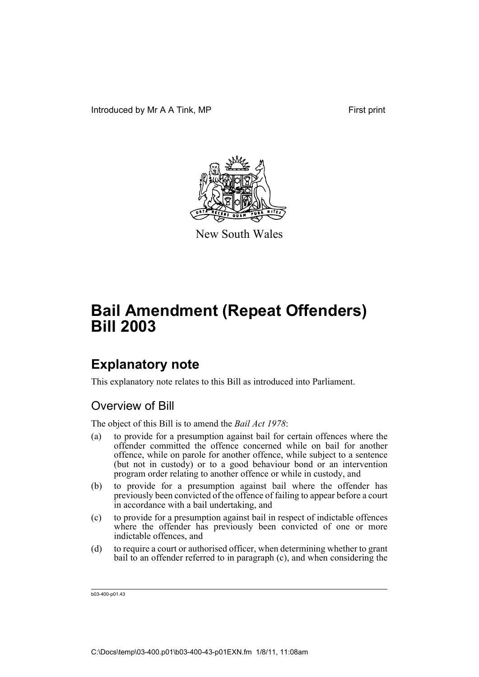Introduced by Mr A A Tink, MP First print



New South Wales

# **Bail Amendment (Repeat Offenders) Bill 2003**

## **Explanatory note**

This explanatory note relates to this Bill as introduced into Parliament.

## Overview of Bill

The object of this Bill is to amend the *Bail Act 1978*:

- (a) to provide for a presumption against bail for certain offences where the offender committed the offence concerned while on bail for another offence, while on parole for another offence, while subject to a sentence (but not in custody) or to a good behaviour bond or an intervention program order relating to another offence or while in custody, and
- (b) to provide for a presumption against bail where the offender has previously been convicted of the offence of failing to appear before a court in accordance with a bail undertaking, and
- (c) to provide for a presumption against bail in respect of indictable offences where the offender has previously been convicted of one or more indictable offences, and
- (d) to require a court or authorised officer, when determining whether to grant bail to an offender referred to in paragraph (c), and when considering the

b03-400-p01.43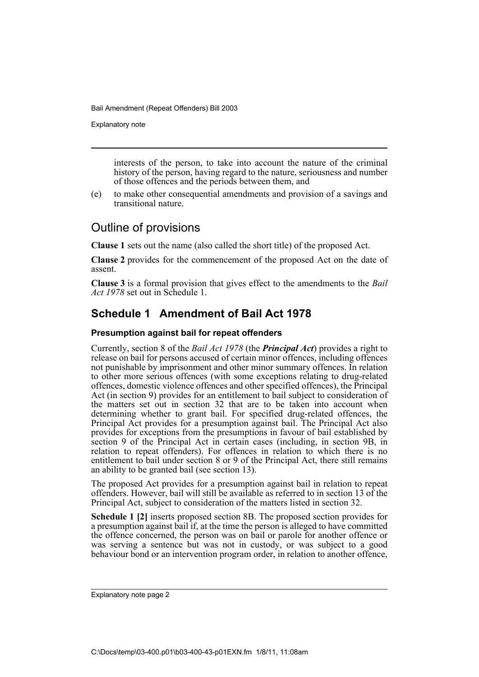Explanatory note

interests of the person, to take into account the nature of the criminal history of the person, having regard to the nature, seriousness and number of those offences and the periods between them, and

(e) to make other consequential amendments and provision of a savings and transitional nature.

### Outline of provisions

**Clause 1** sets out the name (also called the short title) of the proposed Act.

**Clause 2** provides for the commencement of the proposed Act on the date of assent.

**Clause 3** is a formal provision that gives effect to the amendments to the *Bail Act 1978* set out in Schedule 1.

## **Schedule 1 Amendment of Bail Act 1978**

#### **Presumption against bail for repeat offenders**

Currently, section 8 of the *Bail Act 1978* (the *Principal Act*) provides a right to release on bail for persons accused of certain minor offences, including offences not punishable by imprisonment and other minor summary offences. In relation to other more serious offences (with some exceptions relating to drug-related offences, domestic violence offences and other specified offences), the Principal Act (in section 9) provides for an entitlement to bail subject to consideration of the matters set out in section 32 that are to be taken into account when determining whether to grant bail. For specified drug-related offences, the Principal Act provides for a presumption against bail. The Principal Act also provides for exceptions from the presumptions in favour of bail established by section 9 of the Principal Act in certain cases (including, in section 9B, in relation to repeat offenders). For offences in relation to which there is no entitlement to bail under section 8 or 9 of the Principal Act, there still remains an ability to be granted bail (see section 13).

The proposed Act provides for a presumption against bail in relation to repeat offenders. However, bail will still be available as referred to in section 13 of the Principal Act, subject to consideration of the matters listed in section 32.

**Schedule 1 [2]** inserts proposed section 8B. The proposed section provides for a presumption against bail if, at the time the person is alleged to have committed the offence concerned, the person was on bail or parole for another offence or was serving a sentence but was not in custody, or was subject to a good behaviour bond or an intervention program order, in relation to another offence,

Explanatory note page 2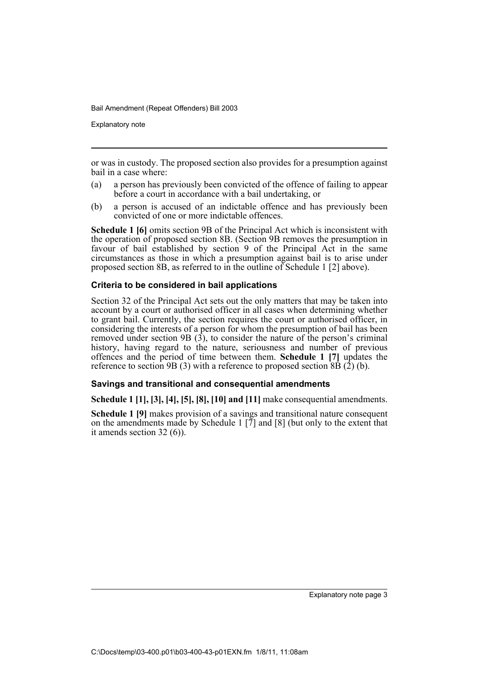Explanatory note

or was in custody. The proposed section also provides for a presumption against bail in a case where:

- (a) a person has previously been convicted of the offence of failing to appear before a court in accordance with a bail undertaking, or
- (b) a person is accused of an indictable offence and has previously been convicted of one or more indictable offences.

**Schedule 1 [6]** omits section 9B of the Principal Act which is inconsistent with the operation of proposed section 8B. (Section 9B removes the presumption in favour of bail established by section 9 of the Principal Act in the same circumstances as those in which a presumption against bail is to arise under proposed section 8B, as referred to in the outline of Schedule 1 [2] above).

#### **Criteria to be considered in bail applications**

Section 32 of the Principal Act sets out the only matters that may be taken into account by a court or authorised officer in all cases when determining whether to grant bail. Currently, the section requires the court or authorised officer, in considering the interests of a person for whom the presumption of bail has been removed under section 9B  $(3)$ , to consider the nature of the person's criminal history, having regard to the nature, seriousness and number of previous offences and the period of time between them. **Schedule 1 [7]** updates the reference to section 9B (3) with a reference to proposed section  $\overline{8B}$  (2) (b).

#### **Savings and transitional and consequential amendments**

**Schedule 1 [1], [3], [4], [5], [8], [10] and [11]** make consequential amendments.

**Schedule 1 [9]** makes provision of a savings and transitional nature consequent on the amendments made by Schedule 1 [7] and [8] (but only to the extent that it amends section 32 (6)).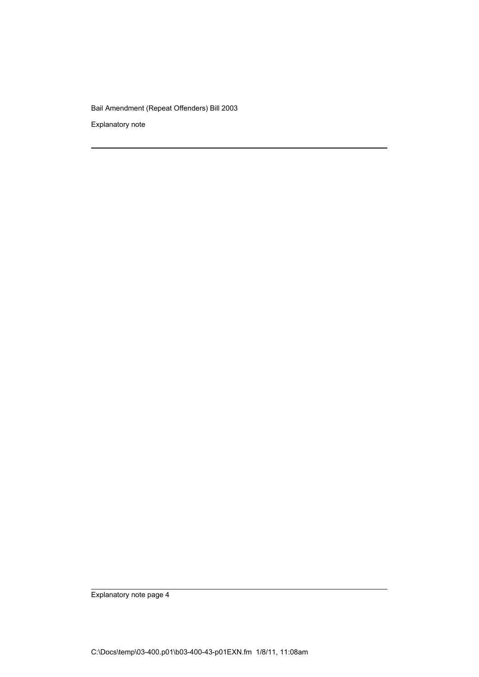Explanatory note

Explanatory note page 4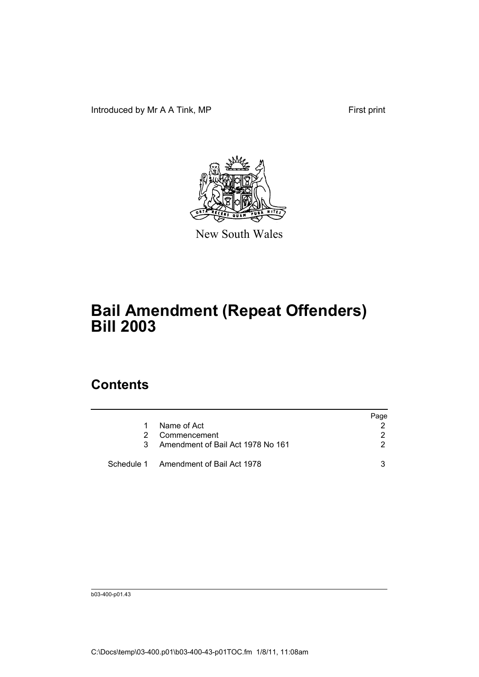Introduced by Mr A A Tink, MP First print



New South Wales

# **Bail Amendment (Repeat Offenders) Bill 2003**

## **Contents**

|    |                                       | Page |
|----|---------------------------------------|------|
| 1. | Name of Act                           |      |
|    | Commencement                          | -2.  |
| 3. | Amendment of Bail Act 1978 No 161     |      |
|    | Schedule 1 Amendment of Bail Act 1978 |      |

b03-400-p01.43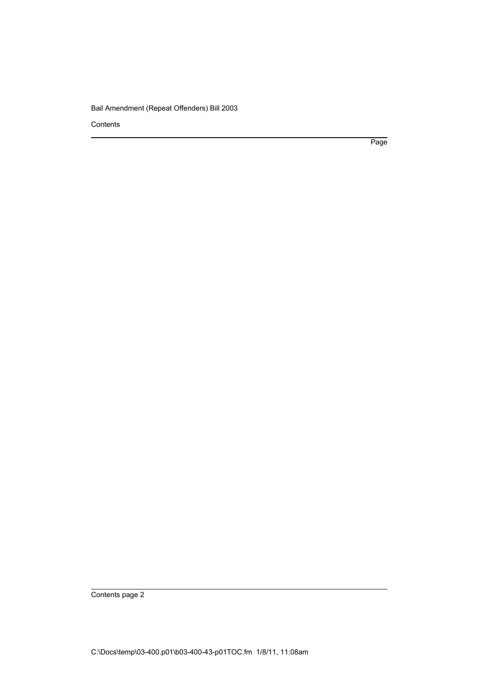Contents

Page

Contents page 2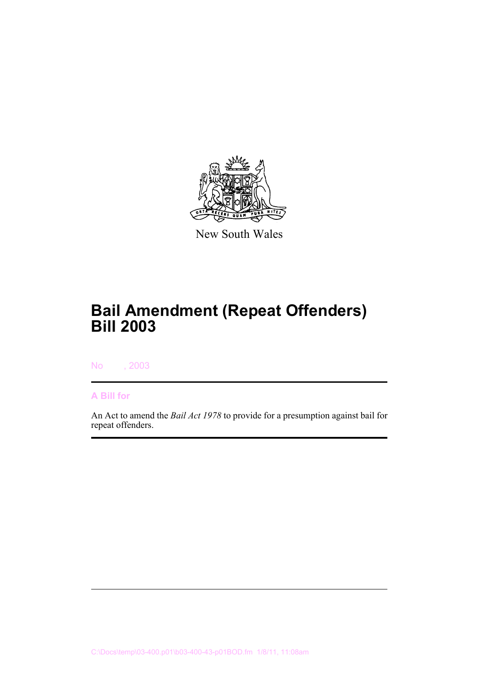

New South Wales

# **Bail Amendment (Repeat Offenders) Bill 2003**

No , 2003

#### **A Bill for**

An Act to amend the *Bail Act 1978* to provide for a presumption against bail for repeat offenders.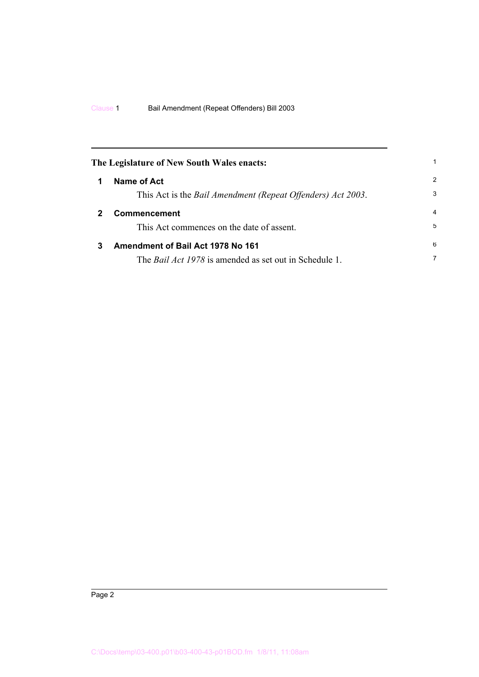<span id="page-7-2"></span><span id="page-7-1"></span><span id="page-7-0"></span>

| The Legislature of New South Wales enacts: |                                                               |   |
|--------------------------------------------|---------------------------------------------------------------|---|
| 1                                          | Name of Act                                                   | 2 |
|                                            | This Act is the Bail Amendment (Repeat Offenders) Act 2003.   | 3 |
| 2                                          | Commencement                                                  | 4 |
|                                            | This Act commences on the date of assent.                     | 5 |
| 3                                          | <b>Amendment of Bail Act 1978 No 161</b>                      | 6 |
|                                            | The <i>Bail Act 1978</i> is amended as set out in Schedule 1. | 7 |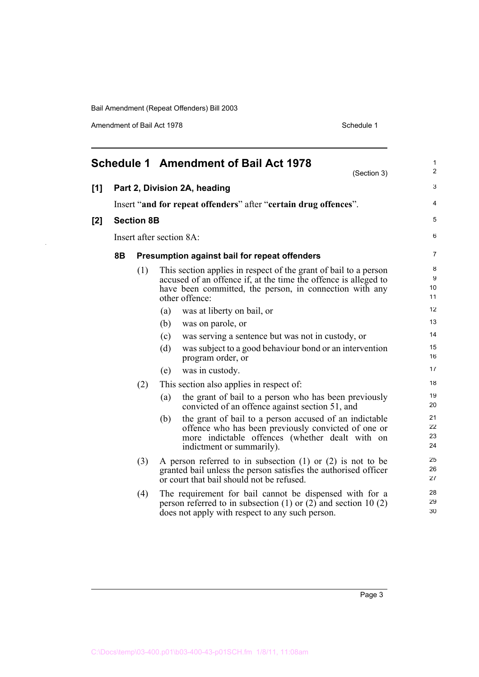Amendment of Bail Act 1978 Schedule 1

 $\ddot{\phantom{a}}$ 

<span id="page-8-0"></span>

|     |                                                            |                   |                          | <b>Schedule 1 Amendment of Bail Act 1978</b><br>(Section 3)                                                                                                                                                      | $\mathbf{1}$<br>2    |  |
|-----|------------------------------------------------------------|-------------------|--------------------------|------------------------------------------------------------------------------------------------------------------------------------------------------------------------------------------------------------------|----------------------|--|
| [1] |                                                            |                   |                          | Part 2, Division 2A, heading                                                                                                                                                                                     | 3                    |  |
|     |                                                            |                   |                          | Insert "and for repeat offenders" after "certain drug offences".                                                                                                                                                 | 4                    |  |
| [2] |                                                            | <b>Section 8B</b> |                          |                                                                                                                                                                                                                  | 5                    |  |
|     |                                                            |                   | Insert after section 8A: |                                                                                                                                                                                                                  | 6                    |  |
|     | <b>8B</b><br>Presumption against bail for repeat offenders |                   |                          |                                                                                                                                                                                                                  |                      |  |
|     |                                                            | (1)               |                          | This section applies in respect of the grant of bail to a person<br>accused of an offence if, at the time the offence is alleged to<br>have been committed, the person, in connection with any<br>other offence: | 8<br>9<br>10<br>11   |  |
|     |                                                            |                   | (a)                      | was at liberty on bail, or                                                                                                                                                                                       | 12                   |  |
|     |                                                            |                   | (b)                      | was on parole, or                                                                                                                                                                                                | 13                   |  |
|     |                                                            |                   | (c)                      | was serving a sentence but was not in custody, or                                                                                                                                                                | 14                   |  |
|     |                                                            |                   | (d)                      | was subject to a good behaviour bond or an intervention<br>program order, or                                                                                                                                     | 15<br>16             |  |
|     |                                                            |                   | (e)                      | was in custody.                                                                                                                                                                                                  | 17                   |  |
|     |                                                            | (2)               |                          | This section also applies in respect of:                                                                                                                                                                         | 18                   |  |
|     |                                                            |                   | (a)                      | the grant of bail to a person who has been previously<br>convicted of an offence against section 51, and                                                                                                         | 19<br>20             |  |
|     |                                                            |                   | (b)                      | the grant of bail to a person accused of an indictable<br>offence who has been previously convicted of one or<br>more indictable offences (whether dealt with on<br>indictment or summarily).                    | 21<br>22<br>23<br>24 |  |
|     |                                                            | (3)               |                          | A person referred to in subsection $(1)$ or $(2)$ is not to be<br>granted bail unless the person satisfies the authorised officer<br>or court that bail should not be refused.                                   | 25<br>26<br>27       |  |
|     |                                                            | (4)               |                          | The requirement for bail cannot be dispensed with for a<br>person referred to in subsection $(1)$ or $(2)$ and section 10 $(2)$<br>does not apply with respect to any such person.                               | 28<br>29<br>30       |  |

Page 3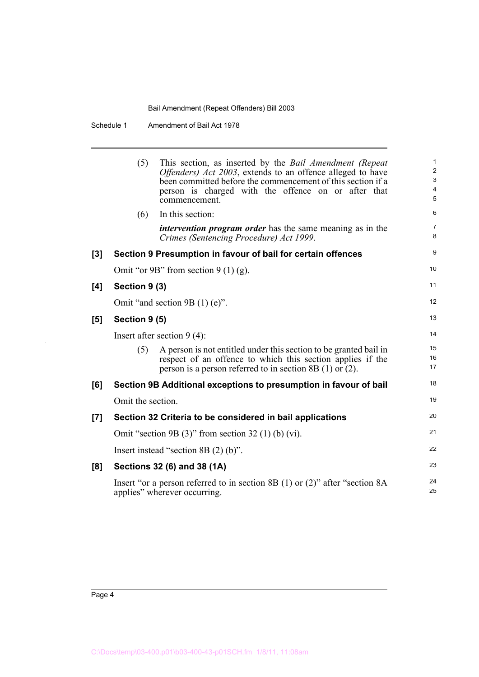|       | (5)                                                               | This section, as inserted by the <i>Bail Amendment (Repeat</i> )<br>Offenders) Act 2003, extends to an offence alleged to have<br>been committed before the commencement of this section if a<br>person is charged with the offence on or after that<br>commencement. | 1<br>$\overline{\mathbf{c}}$<br>3<br>4<br>5 |  |
|-------|-------------------------------------------------------------------|-----------------------------------------------------------------------------------------------------------------------------------------------------------------------------------------------------------------------------------------------------------------------|---------------------------------------------|--|
|       | (6)                                                               | In this section:                                                                                                                                                                                                                                                      | 6                                           |  |
|       |                                                                   | <i>intervention program order</i> has the same meaning as in the<br>Crimes (Sentencing Procedure) Act 1999.                                                                                                                                                           | 7<br>8                                      |  |
| $[3]$ |                                                                   | Section 9 Presumption in favour of bail for certain offences                                                                                                                                                                                                          | 9                                           |  |
|       |                                                                   | Omit "or 9B" from section $9(1)(g)$ .                                                                                                                                                                                                                                 | 10                                          |  |
| [4]   | Section 9 (3)                                                     |                                                                                                                                                                                                                                                                       | 11                                          |  |
|       |                                                                   | Omit "and section 9B $(1)$ (e)".                                                                                                                                                                                                                                      | 12                                          |  |
| $[5]$ | Section 9 (5)                                                     |                                                                                                                                                                                                                                                                       |                                             |  |
|       |                                                                   | Insert after section $9(4)$ :                                                                                                                                                                                                                                         | 14                                          |  |
|       | (5)                                                               | A person is not entitled under this section to be granted bail in<br>respect of an offence to which this section applies if the<br>person is a person referred to in section 8B $(1)$ or $(2)$ .                                                                      | 15<br>16<br>17                              |  |
| [6]   | Section 9B Additional exceptions to presumption in favour of bail |                                                                                                                                                                                                                                                                       |                                             |  |
|       | Omit the section.                                                 |                                                                                                                                                                                                                                                                       | 19                                          |  |
| [7]   |                                                                   | Section 32 Criteria to be considered in bail applications                                                                                                                                                                                                             | 20                                          |  |
|       | Omit "section 9B $(3)$ " from section 32 $(1)$ (b) $(vi)$ .       |                                                                                                                                                                                                                                                                       |                                             |  |
|       | Insert instead "section 8B $(2)$ $(b)$ ".                         |                                                                                                                                                                                                                                                                       |                                             |  |
| [8]   |                                                                   | Sections 32 (6) and 38 (1A)                                                                                                                                                                                                                                           | 23                                          |  |
|       |                                                                   | Insert "or a person referred to in section 8B $(1)$ or $(2)$ " after "section 8A<br>applies" wherever occurring.                                                                                                                                                      | 24<br>25                                    |  |

 $\hat{\mathcal{A}}$